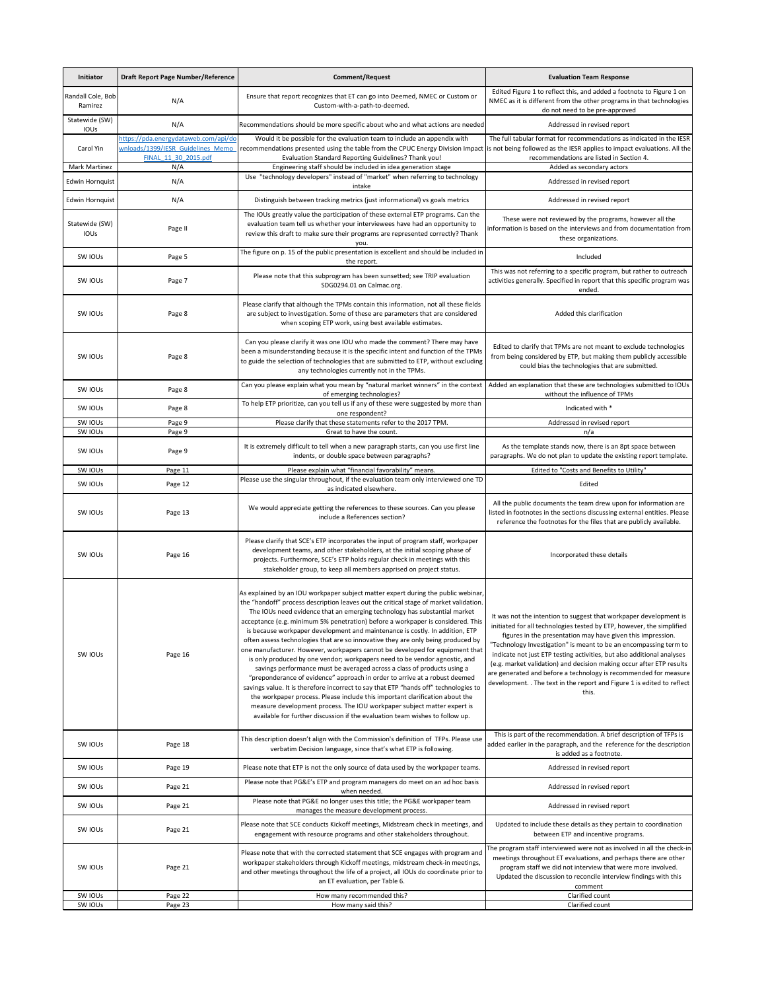| Initiator                         | <b>Draft Report Page Number/Reference</b>                                                                | <b>Comment/Request</b>                                                                                                                                                                                                                                                                                                                                                                                                                                                                                                                                                                                                                                                                                                                                                                                                                                                                                                                                                                                                                                                                                                                                                   | <b>Evaluation Team Response</b>                                                                                                                                                                                                                                                                                                                                                                                                                                                                                                                                                          |
|-----------------------------------|----------------------------------------------------------------------------------------------------------|--------------------------------------------------------------------------------------------------------------------------------------------------------------------------------------------------------------------------------------------------------------------------------------------------------------------------------------------------------------------------------------------------------------------------------------------------------------------------------------------------------------------------------------------------------------------------------------------------------------------------------------------------------------------------------------------------------------------------------------------------------------------------------------------------------------------------------------------------------------------------------------------------------------------------------------------------------------------------------------------------------------------------------------------------------------------------------------------------------------------------------------------------------------------------|------------------------------------------------------------------------------------------------------------------------------------------------------------------------------------------------------------------------------------------------------------------------------------------------------------------------------------------------------------------------------------------------------------------------------------------------------------------------------------------------------------------------------------------------------------------------------------------|
| Randall Cole, Bob<br>Ramirez      | N/A                                                                                                      | Ensure that report recognizes that ET can go into Deemed, NMEC or Custom or<br>Custom-with-a-path-to-deemed.                                                                                                                                                                                                                                                                                                                                                                                                                                                                                                                                                                                                                                                                                                                                                                                                                                                                                                                                                                                                                                                             | Edited Figure 1 to reflect this, and added a footnote to Figure 1 on<br>NMEC as it is different from the other programs in that technologies<br>do not need to be pre-approved                                                                                                                                                                                                                                                                                                                                                                                                           |
| Statewide (SW)<br><b>IOUs</b>     | N/A                                                                                                      | Recommendations should be more specific about who and what actions are needed                                                                                                                                                                                                                                                                                                                                                                                                                                                                                                                                                                                                                                                                                                                                                                                                                                                                                                                                                                                                                                                                                            | Addressed in revised report                                                                                                                                                                                                                                                                                                                                                                                                                                                                                                                                                              |
| Carol Yin<br><b>Mark Martinez</b> | https://pda.energydataweb.com/api/do<br>wnloads/1399/IESR Guidelines Memo<br>FINAL 11 30 2015.pdf<br>N/A | Would it be possible for the evaluation team to include an appendix with<br>recommendations presented using the table from the CPUC Energy Division Impact is not being followed as the IESR applies to impact evaluations. All the<br>Evaluation Standard Reporting Guidelines? Thank you!<br>Engineering staff should be included in idea generation stage                                                                                                                                                                                                                                                                                                                                                                                                                                                                                                                                                                                                                                                                                                                                                                                                             | The full tabular format for recommendations as indicated in the IESR<br>recommendations are listed in Section 4.<br>Added as secondary actors                                                                                                                                                                                                                                                                                                                                                                                                                                            |
| <b>Edwin Hornquist</b>            | N/A                                                                                                      | Use "technology developers" instead of "market" when referring to technology<br>intake                                                                                                                                                                                                                                                                                                                                                                                                                                                                                                                                                                                                                                                                                                                                                                                                                                                                                                                                                                                                                                                                                   | Addressed in revised report                                                                                                                                                                                                                                                                                                                                                                                                                                                                                                                                                              |
| <b>Edwin Hornquist</b>            | N/A                                                                                                      | Distinguish between tracking metrics (just informational) vs goals metrics                                                                                                                                                                                                                                                                                                                                                                                                                                                                                                                                                                                                                                                                                                                                                                                                                                                                                                                                                                                                                                                                                               | Addressed in revised report                                                                                                                                                                                                                                                                                                                                                                                                                                                                                                                                                              |
| Statewide (SW)<br>IOUs            | Page II                                                                                                  | The IOUs greatly value the participation of these external ETP programs. Can the<br>evaluation team tell us whether your interviewees have had an opportunity to<br>review this draft to make sure their programs are represented correctly? Thank<br>vou.                                                                                                                                                                                                                                                                                                                                                                                                                                                                                                                                                                                                                                                                                                                                                                                                                                                                                                               | These were not reviewed by the programs, however all the<br>information is based on the interviews and from documentation from<br>these organizations.                                                                                                                                                                                                                                                                                                                                                                                                                                   |
| SW IOUs                           | Page 5                                                                                                   | The figure on p. 15 of the public presentation is excellent and should be included in<br>the report.                                                                                                                                                                                                                                                                                                                                                                                                                                                                                                                                                                                                                                                                                                                                                                                                                                                                                                                                                                                                                                                                     | Included                                                                                                                                                                                                                                                                                                                                                                                                                                                                                                                                                                                 |
| SW IOUS                           | Page 7                                                                                                   | Please note that this subprogram has been sunsetted; see TRIP evaluation<br>SDG0294.01 on Calmac.org.                                                                                                                                                                                                                                                                                                                                                                                                                                                                                                                                                                                                                                                                                                                                                                                                                                                                                                                                                                                                                                                                    | This was not referring to a specific program, but rather to outreach<br>activities generally. Specified in report that this specific program was<br>ended.                                                                                                                                                                                                                                                                                                                                                                                                                               |
| SW IOUS                           | Page 8                                                                                                   | Please clarify that although the TPMs contain this information, not all these fields<br>are subject to investigation. Some of these are parameters that are considered<br>when scoping ETP work, using best available estimates.                                                                                                                                                                                                                                                                                                                                                                                                                                                                                                                                                                                                                                                                                                                                                                                                                                                                                                                                         | Added this clarification                                                                                                                                                                                                                                                                                                                                                                                                                                                                                                                                                                 |
| SW IOUS                           | Page 8                                                                                                   | Can you please clarify it was one IOU who made the comment? There may have<br>been a misunderstanding because it is the specific intent and function of the TPMs<br>to guide the selection of technologies that are submitted to ETP, without excluding<br>any technologies currently not in the TPMs.                                                                                                                                                                                                                                                                                                                                                                                                                                                                                                                                                                                                                                                                                                                                                                                                                                                                   | Edited to clarify that TPMs are not meant to exclude technologies<br>from being considered by ETP, but making them publicly accessible<br>could bias the technologies that are submitted.                                                                                                                                                                                                                                                                                                                                                                                                |
| SW IOUS                           | Page 8                                                                                                   | Can you please explain what you mean by "natural market winners" in the context<br>of emerging technologies?                                                                                                                                                                                                                                                                                                                                                                                                                                                                                                                                                                                                                                                                                                                                                                                                                                                                                                                                                                                                                                                             | Added an explanation that these are technologies submitted to IOUs<br>without the influence of TPMs                                                                                                                                                                                                                                                                                                                                                                                                                                                                                      |
| SW IOUS                           | Page 8                                                                                                   | To help ETP prioritize, can you tell us if any of these were suggested by more than<br>one respondent?                                                                                                                                                                                                                                                                                                                                                                                                                                                                                                                                                                                                                                                                                                                                                                                                                                                                                                                                                                                                                                                                   | Indicated with *                                                                                                                                                                                                                                                                                                                                                                                                                                                                                                                                                                         |
| SW IOUS                           | Page 9                                                                                                   | Please clarify that these statements refer to the 2017 TPM.                                                                                                                                                                                                                                                                                                                                                                                                                                                                                                                                                                                                                                                                                                                                                                                                                                                                                                                                                                                                                                                                                                              | Addressed in revised report                                                                                                                                                                                                                                                                                                                                                                                                                                                                                                                                                              |
| SW IOUs<br>SW IOUS                | Page 9<br>Page 9                                                                                         | Great to have the count.<br>It is extremely difficult to tell when a new paragraph starts, can you use first line<br>indents, or double space between paragraphs?                                                                                                                                                                                                                                                                                                                                                                                                                                                                                                                                                                                                                                                                                                                                                                                                                                                                                                                                                                                                        | n/a<br>As the template stands now, there is an 8pt space between<br>paragraphs. We do not plan to update the existing report template.                                                                                                                                                                                                                                                                                                                                                                                                                                                   |
| SW IOUS                           | Page 11                                                                                                  | Please explain what "financial favorability" means.                                                                                                                                                                                                                                                                                                                                                                                                                                                                                                                                                                                                                                                                                                                                                                                                                                                                                                                                                                                                                                                                                                                      | Edited to "Costs and Benefits to Utility"                                                                                                                                                                                                                                                                                                                                                                                                                                                                                                                                                |
| SW IOUS                           | Page 12                                                                                                  | Please use the singular throughout, if the evaluation team only interviewed one TD<br>as indicated elsewhere.                                                                                                                                                                                                                                                                                                                                                                                                                                                                                                                                                                                                                                                                                                                                                                                                                                                                                                                                                                                                                                                            | Edited                                                                                                                                                                                                                                                                                                                                                                                                                                                                                                                                                                                   |
| SW IOUS                           | Page 13                                                                                                  | We would appreciate getting the references to these sources. Can you please<br>include a References section?                                                                                                                                                                                                                                                                                                                                                                                                                                                                                                                                                                                                                                                                                                                                                                                                                                                                                                                                                                                                                                                             | All the public documents the team drew upon for information are<br>listed in footnotes in the sections discussing external entities. Please<br>reference the footnotes for the files that are publicly available.                                                                                                                                                                                                                                                                                                                                                                        |
| SW IOUS                           | Page 16                                                                                                  | Please clarify that SCE's ETP incorporates the input of program staff, workpaper<br>development teams, and other stakeholders, at the initial scoping phase of<br>projects. Furthermore, SCE's ETP holds regular check in meetings with this<br>stakeholder group, to keep all members apprised on project status.                                                                                                                                                                                                                                                                                                                                                                                                                                                                                                                                                                                                                                                                                                                                                                                                                                                       | Incorporated these details                                                                                                                                                                                                                                                                                                                                                                                                                                                                                                                                                               |
| SW IOUs                           | Page 16                                                                                                  | As explained by an IOU workpaper subject matter expert during the public webinar,<br>the "handoff" process description leaves out the critical stage of market validation.<br>The IOUs need evidence that an emerging technology has substantial market<br>acceptance (e.g. minimum 5% penetration) before a workpaper is considered. This<br>is because workpaper development and maintenance is costly. In addition, ETP<br>often assess technologies that are so innovative they are only being produced by<br>one manufacturer. However, workpapers cannot be developed for equipment that<br>is only produced by one vendor; workpapers need to be vendor agnostic, and<br>savings performance must be averaged across a class of products using a<br>"preponderance of evidence" approach in order to arrive at a robust deemed<br>savings value. It is therefore incorrect to say that ETP "hands off" technologies to<br>the workpaper process. Please include this important clarification about the<br>measure development process. The IOU workpaper subject matter expert is<br>available for further discussion if the evaluation team wishes to follow up. | It was not the intention to suggest that workpaper development is<br>initiated for all technologies tested by ETP, however, the simplified<br>figures in the presentation may have given this impression.<br>"Technology Investigation" is meant to be an encompassing term to<br>indicate not just ETP testing activities, but also additional analyses<br>(e.g. market validation) and decision making occur after ETP results<br>are generated and before a technology is recommended for measure<br>development. . The text in the report and Figure 1 is edited to reflect<br>this. |
| SW IOUS                           | Page 18                                                                                                  | This description doesn't align with the Commission's definition of TFPs. Please use<br>verbatim Decision language, since that's what ETP is following.                                                                                                                                                                                                                                                                                                                                                                                                                                                                                                                                                                                                                                                                                                                                                                                                                                                                                                                                                                                                                   | This is part of the recommendation. A brief description of TFPs is<br>added earlier in the paragraph, and the reference for the description<br>is added as a footnote.                                                                                                                                                                                                                                                                                                                                                                                                                   |
| SW IOUS                           | Page 19                                                                                                  | Please note that ETP is not the only source of data used by the workpaper teams.                                                                                                                                                                                                                                                                                                                                                                                                                                                                                                                                                                                                                                                                                                                                                                                                                                                                                                                                                                                                                                                                                         | Addressed in revised report                                                                                                                                                                                                                                                                                                                                                                                                                                                                                                                                                              |
| SW IOUS                           | Page 21                                                                                                  | Please note that PG&E's ETP and program managers do meet on an ad hoc basis<br>when needed.                                                                                                                                                                                                                                                                                                                                                                                                                                                                                                                                                                                                                                                                                                                                                                                                                                                                                                                                                                                                                                                                              | Addressed in revised report                                                                                                                                                                                                                                                                                                                                                                                                                                                                                                                                                              |
| SW IOUS                           | Page 21                                                                                                  | Please note that PG&E no longer uses this title; the PG&E workpaper team<br>manages the measure development process.                                                                                                                                                                                                                                                                                                                                                                                                                                                                                                                                                                                                                                                                                                                                                                                                                                                                                                                                                                                                                                                     | Addressed in revised report                                                                                                                                                                                                                                                                                                                                                                                                                                                                                                                                                              |
| SW IOUS                           | Page 21                                                                                                  | Please note that SCE conducts Kickoff meetings, Midstream check in meetings, and<br>engagement with resource programs and other stakeholders throughout.                                                                                                                                                                                                                                                                                                                                                                                                                                                                                                                                                                                                                                                                                                                                                                                                                                                                                                                                                                                                                 | Updated to include these details as they pertain to coordination<br>between ETP and incentive programs.                                                                                                                                                                                                                                                                                                                                                                                                                                                                                  |
| SW IOUS                           | Page 21                                                                                                  | Please note that with the corrected statement that SCE engages with program and<br>workpaper stakeholders through Kickoff meetings, midstream check-in meetings,<br>and other meetings throughout the life of a project, all IOUs do coordinate prior to<br>an ET evaluation, per Table 6.                                                                                                                                                                                                                                                                                                                                                                                                                                                                                                                                                                                                                                                                                                                                                                                                                                                                               | The program staff interviewed were not as involved in all the check-in<br>meetings throughout ET evaluations, and perhaps there are other<br>program staff we did not interview that were more involved.<br>Updated the discussion to reconcile interview findings with this<br>comment                                                                                                                                                                                                                                                                                                  |
| SW IOUs                           | Page 22                                                                                                  | How many recommended this?                                                                                                                                                                                                                                                                                                                                                                                                                                                                                                                                                                                                                                                                                                                                                                                                                                                                                                                                                                                                                                                                                                                                               | Clarified count                                                                                                                                                                                                                                                                                                                                                                                                                                                                                                                                                                          |
| SW IOUs                           | Page 23                                                                                                  | How many said this?                                                                                                                                                                                                                                                                                                                                                                                                                                                                                                                                                                                                                                                                                                                                                                                                                                                                                                                                                                                                                                                                                                                                                      | Clarified count                                                                                                                                                                                                                                                                                                                                                                                                                                                                                                                                                                          |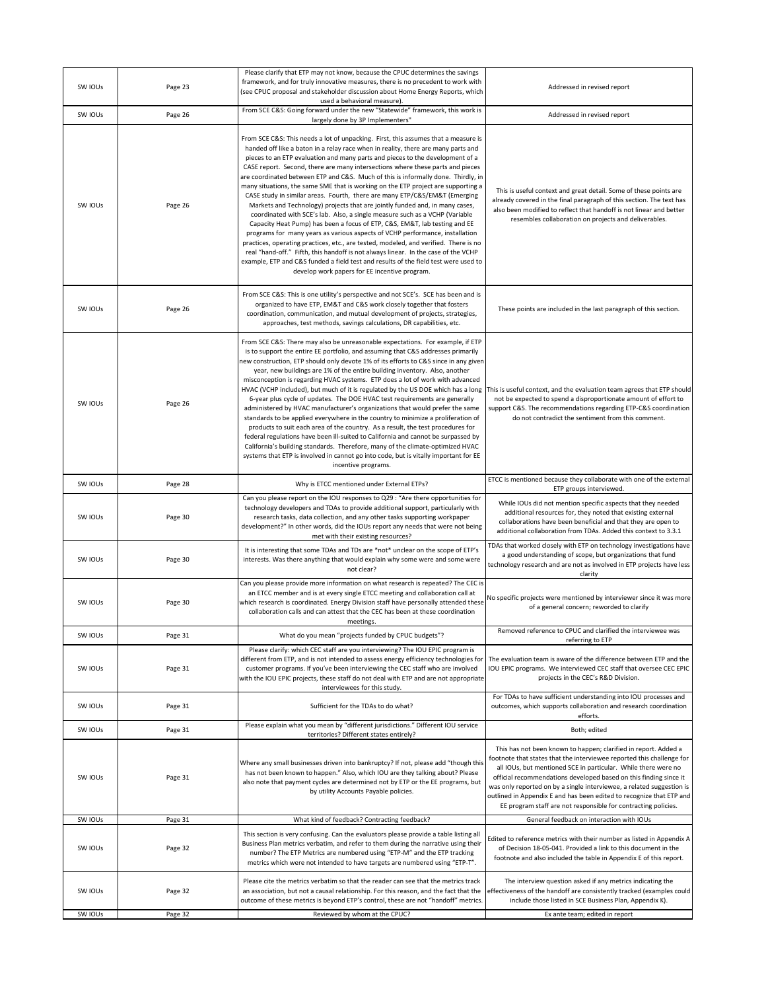| SW IOUs | Page 23 | Please clarify that ETP may not know, because the CPUC determines the savings<br>framework, and for truly innovative measures, there is no precedent to work with<br>(see CPUC proposal and stakeholder discussion about Home Energy Reports, which                                                                                                                                                                                                                                                                                                                                                                                                                                                                                                                                                                                                                                                                                                                                                                                                                                                                                                                                                                                                                                       | Addressed in revised report                                                                                                                                                                                                                                                                                                                                                                                                                                                                        |
|---------|---------|-------------------------------------------------------------------------------------------------------------------------------------------------------------------------------------------------------------------------------------------------------------------------------------------------------------------------------------------------------------------------------------------------------------------------------------------------------------------------------------------------------------------------------------------------------------------------------------------------------------------------------------------------------------------------------------------------------------------------------------------------------------------------------------------------------------------------------------------------------------------------------------------------------------------------------------------------------------------------------------------------------------------------------------------------------------------------------------------------------------------------------------------------------------------------------------------------------------------------------------------------------------------------------------------|----------------------------------------------------------------------------------------------------------------------------------------------------------------------------------------------------------------------------------------------------------------------------------------------------------------------------------------------------------------------------------------------------------------------------------------------------------------------------------------------------|
| SW IOUs | Page 26 | used a behavioral measure).<br>From SCE C&S: Going forward under the new "Statewide" framework, this work is                                                                                                                                                                                                                                                                                                                                                                                                                                                                                                                                                                                                                                                                                                                                                                                                                                                                                                                                                                                                                                                                                                                                                                              | Addressed in revised report                                                                                                                                                                                                                                                                                                                                                                                                                                                                        |
| SW IOUS | Page 26 | largely done by 3P Implementers"<br>From SCE C&S: This needs a lot of unpacking. First, this assumes that a measure is<br>handed off like a baton in a relay race when in reality, there are many parts and<br>pieces to an ETP evaluation and many parts and pieces to the development of a<br>CASE report. Second, there are many intersections where these parts and pieces<br>are coordinated between ETP and C&S. Much of this is informally done. Thirdly, in<br>many situations, the same SME that is working on the ETP project are supporting a<br>CASE study in similar areas. Fourth, there are many ETP/C&S/EM&T (Emerging<br>Markets and Technology) projects that are jointly funded and, in many cases,<br>coordinated with SCE's lab. Also, a single measure such as a VCHP (Variable<br>Capacity Heat Pump) has been a focus of ETP, C&S, EM&T, lab testing and EE<br>programs for many years as various aspects of VCHP performance, installation<br>practices, operating practices, etc., are tested, modeled, and verified. There is no<br>real "hand-off." Fifth, this handoff is not always linear. In the case of the VCHP<br>example, ETP and C&S funded a field test and results of the field test were used to<br>develop work papers for EE incentive program. | This is useful context and great detail. Some of these points are<br>already covered in the final paragraph of this section. The text has<br>also been modified to reflect that handoff is not linear and better<br>resembles collaboration on projects and deliverables.                                                                                                                                                                                                                          |
| SW IOUs | Page 26 | From SCE C&S: This is one utility's perspective and not SCE's. SCE has been and is<br>organized to have ETP, EM&T and C&S work closely together that fosters<br>coordination, communication, and mutual development of projects, strategies,<br>approaches, test methods, savings calculations, DR capabilities, etc.                                                                                                                                                                                                                                                                                                                                                                                                                                                                                                                                                                                                                                                                                                                                                                                                                                                                                                                                                                     | These points are included in the last paragraph of this section.                                                                                                                                                                                                                                                                                                                                                                                                                                   |
| SW IOUs | Page 26 | From SCE C&S: There may also be unreasonable expectations. For example, if ETP<br>is to support the entire EE portfolio, and assuming that C&S addresses primarily<br>new construction, ETP should only devote 1% of its efforts to C&S since in any given<br>year, new buildings are 1% of the entire building inventory. Also, another<br>misconception is regarding HVAC systems. ETP does a lot of work with advanced<br>HVAC (VCHP included), but much of it is regulated by the US DOE which has a long<br>6-year plus cycle of updates. The DOE HVAC test requirements are generally<br>administered by HVAC manufacturer's organizations that would prefer the same<br>standards to be applied everywhere in the country to minimize a proliferation of<br>products to suit each area of the country. As a result, the test procedures for<br>federal regulations have been ill-suited to California and cannot be surpassed by<br>California's building standards. Therefore, many of the climate-optimized HVAC<br>systems that ETP is involved in cannot go into code, but is vitally important for EE<br>incentive programs.                                                                                                                                                  | This is useful context, and the evaluation team agrees that ETP should<br>not be expected to spend a disproportionate amount of effort to<br>support C&S. The recommendations regarding ETP-C&S coordination<br>do not contradict the sentiment from this comment.                                                                                                                                                                                                                                 |
| SW IOUS | Page 28 | Why is ETCC mentioned under External ETPs?                                                                                                                                                                                                                                                                                                                                                                                                                                                                                                                                                                                                                                                                                                                                                                                                                                                                                                                                                                                                                                                                                                                                                                                                                                                | ETCC is mentioned because they collaborate with one of the external<br>ETP groups interviewed.                                                                                                                                                                                                                                                                                                                                                                                                     |
| SW IOUs | Page 30 | Can you please report on the IOU responses to Q29 : "Are there opportunities for<br>technology developers and TDAs to provide additional support, particularly with<br>research tasks, data collection, and any other tasks supporting workpaper<br>development?" In other words, did the IOUs report any needs that were not being<br>met with their existing resources?                                                                                                                                                                                                                                                                                                                                                                                                                                                                                                                                                                                                                                                                                                                                                                                                                                                                                                                 | While IOUs did not mention specific aspects that they needed<br>additional resources for, they noted that existing external<br>collaborations have been beneficial and that they are open to<br>additional collaboration from TDAs. Added this context to 3.3.1                                                                                                                                                                                                                                    |
| SW IOUs | Page 30 | It is interesting that some TDAs and TDs are *not* unclear on the scope of ETP's<br>interests. Was there anything that would explain why some were and some were<br>not clear?                                                                                                                                                                                                                                                                                                                                                                                                                                                                                                                                                                                                                                                                                                                                                                                                                                                                                                                                                                                                                                                                                                            | TDAs that worked closely with ETP on technology investigations have<br>a good understanding of scope, but organizations that fund<br>technology research and are not as involved in ETP projects have less<br>clarity                                                                                                                                                                                                                                                                              |
| SW IOUs | Page 30 | Can you please provide more information on what research is repeated? The CEC is<br>an ETCC member and is at every single ETCC meeting and collaboration call at<br>which research is coordinated. Energy Division staff have personally attended these<br>collaboration calls and can attest that the CEC has been at these coordination<br>meetings.                                                                                                                                                                                                                                                                                                                                                                                                                                                                                                                                                                                                                                                                                                                                                                                                                                                                                                                                    | No specific projects were mentioned by interviewer since it was more<br>of a general concern; reworded to clarify                                                                                                                                                                                                                                                                                                                                                                                  |
| SW IOUS | Page 31 | What do you mean "projects funded by CPUC budgets"?                                                                                                                                                                                                                                                                                                                                                                                                                                                                                                                                                                                                                                                                                                                                                                                                                                                                                                                                                                                                                                                                                                                                                                                                                                       | Removed reference to CPUC and clarified the interviewee was<br>referring to ETP                                                                                                                                                                                                                                                                                                                                                                                                                    |
| SW IOUs | Page 31 | Please clarify: which CEC staff are you interviewing? The IOU EPIC program is<br>different from ETP, and is not intended to assess energy efficiency technologies for<br>customer programs. If you've been interviewing the CEC staff who are involved<br>with the IOU EPIC projects, these staff do not deal with ETP and are not appropriate<br>interviewees for this study.                                                                                                                                                                                                                                                                                                                                                                                                                                                                                                                                                                                                                                                                                                                                                                                                                                                                                                            | The evaluation team is aware of the difference between ETP and the<br>IOU EPIC programs. We interviewed CEC staff that oversee CEC EPIC<br>projects in the CEC's R&D Division.                                                                                                                                                                                                                                                                                                                     |
| SW IOUS | Page 31 | Sufficient for the TDAs to do what?                                                                                                                                                                                                                                                                                                                                                                                                                                                                                                                                                                                                                                                                                                                                                                                                                                                                                                                                                                                                                                                                                                                                                                                                                                                       | For TDAs to have sufficient understanding into IOU processes and<br>outcomes, which supports collaboration and research coordination<br>efforts.                                                                                                                                                                                                                                                                                                                                                   |
| SW IOUS | Page 31 | Please explain what you mean by "different jurisdictions." Different IOU service<br>territories? Different states entirely?                                                                                                                                                                                                                                                                                                                                                                                                                                                                                                                                                                                                                                                                                                                                                                                                                                                                                                                                                                                                                                                                                                                                                               | Both; edited                                                                                                                                                                                                                                                                                                                                                                                                                                                                                       |
| SW IOUs | Page 31 | Where any small businesses driven into bankruptcy? If not, please add "though this<br>has not been known to happen." Also, which IOU are they talking about? Please<br>also note that payment cycles are determined not by ETP or the EE programs, but<br>by utility Accounts Payable policies.                                                                                                                                                                                                                                                                                                                                                                                                                                                                                                                                                                                                                                                                                                                                                                                                                                                                                                                                                                                           | This has not been known to happen; clarified in report. Added a<br>footnote that states that the interviewee reported this challenge for<br>all IOUs, but mentioned SCE in particular. While there were no<br>official recommendations developed based on this finding since it<br>was only reported on by a single interviewee, a related suggestion is<br>outlined in Appendix E and has been edited to recognize that ETP and<br>EE program staff are not responsible for contracting policies. |
| SW IOUS | Page 31 | What kind of feedback? Contracting feedback?                                                                                                                                                                                                                                                                                                                                                                                                                                                                                                                                                                                                                                                                                                                                                                                                                                                                                                                                                                                                                                                                                                                                                                                                                                              | General feedback on interaction with IOUs                                                                                                                                                                                                                                                                                                                                                                                                                                                          |
| SW IOUs | Page 32 | This section is very confusing. Can the evaluators please provide a table listing all<br>Business Plan metrics verbatim, and refer to them during the narrative using their<br>number? The ETP Metrics are numbered using "ETP-M" and the ETP tracking<br>metrics which were not intended to have targets are numbered using "ETP-T".                                                                                                                                                                                                                                                                                                                                                                                                                                                                                                                                                                                                                                                                                                                                                                                                                                                                                                                                                     | Edited to reference metrics with their number as listed in Appendix A<br>of Decision 18-05-041. Provided a link to this document in the<br>footnote and also included the table in Appendix E of this report.                                                                                                                                                                                                                                                                                      |
| SW IOUS | Page 32 | Please cite the metrics verbatim so that the reader can see that the metrics track<br>an association, but not a causal relationship. For this reason, and the fact that the<br>outcome of these metrics is beyond ETP's control, these are not "handoff" metrics.                                                                                                                                                                                                                                                                                                                                                                                                                                                                                                                                                                                                                                                                                                                                                                                                                                                                                                                                                                                                                         | The interview question asked if any metrics indicating the<br>effectiveness of the handoff are consistently tracked (examples could<br>include those listed in SCE Business Plan, Appendix K).                                                                                                                                                                                                                                                                                                     |
| SW IOUs | Page 32 | Reviewed by whom at the CPUC?                                                                                                                                                                                                                                                                                                                                                                                                                                                                                                                                                                                                                                                                                                                                                                                                                                                                                                                                                                                                                                                                                                                                                                                                                                                             | Ex ante team; edited in report                                                                                                                                                                                                                                                                                                                                                                                                                                                                     |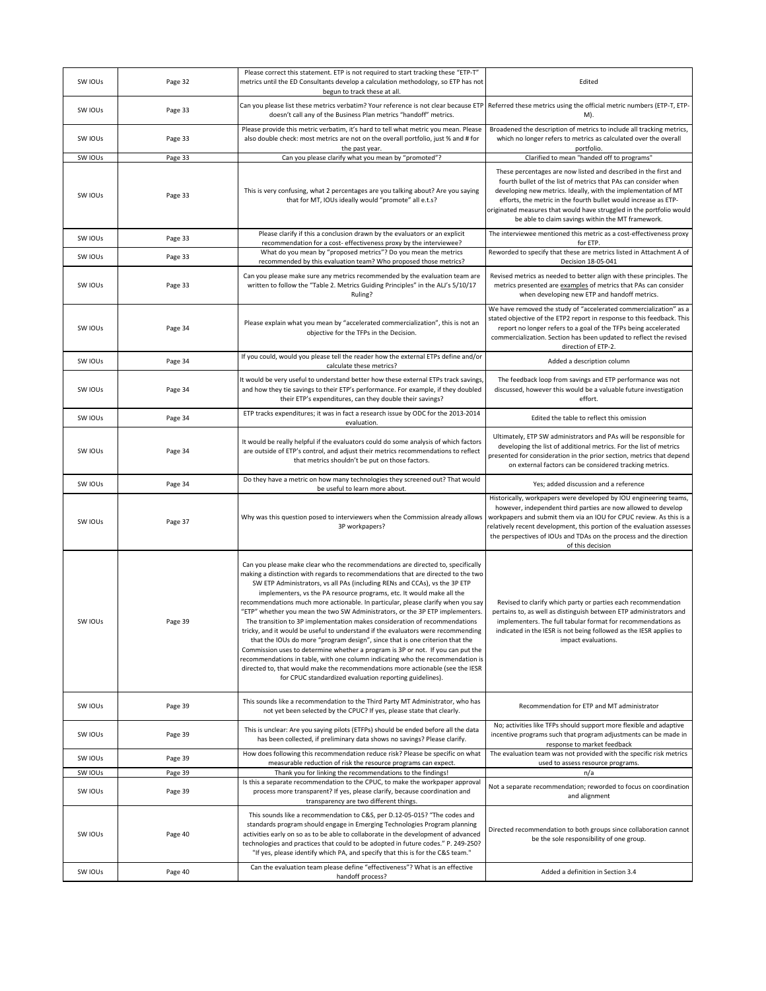| SW IOUs | Page 32 | Please correct this statement. ETP is not required to start tracking these "ETP-T"<br>metrics until the ED Consultants develop a calculation methodology, so ETP has not<br>begun to track these at all.                                                                                                                                                                                                                                                                                                                                                                                                                                                                                                                                                                                                                                                                                                                                                                                                                                                             | Edited                                                                                                                                                                                                                                                                                                                                                                                                                                            |
|---------|---------|----------------------------------------------------------------------------------------------------------------------------------------------------------------------------------------------------------------------------------------------------------------------------------------------------------------------------------------------------------------------------------------------------------------------------------------------------------------------------------------------------------------------------------------------------------------------------------------------------------------------------------------------------------------------------------------------------------------------------------------------------------------------------------------------------------------------------------------------------------------------------------------------------------------------------------------------------------------------------------------------------------------------------------------------------------------------|---------------------------------------------------------------------------------------------------------------------------------------------------------------------------------------------------------------------------------------------------------------------------------------------------------------------------------------------------------------------------------------------------------------------------------------------------|
| SW IOUS | Page 33 | Can you please list these metrics verbatim? Your reference is not clear because ETP Referred these metrics using the official metric numbers (ETP-T, ETP-<br>doesn't call any of the Business Plan metrics "handoff" metrics.                                                                                                                                                                                                                                                                                                                                                                                                                                                                                                                                                                                                                                                                                                                                                                                                                                        | M).                                                                                                                                                                                                                                                                                                                                                                                                                                               |
| SW IOUS | Page 33 | Please provide this metric verbatim, it's hard to tell what metric you mean. Please<br>also double check: most metrics are not on the overall portfolio, just % and # for<br>the past year.                                                                                                                                                                                                                                                                                                                                                                                                                                                                                                                                                                                                                                                                                                                                                                                                                                                                          | Broadened the description of metrics to include all tracking metrics,<br>which no longer refers to metrics as calculated over the overall<br>portfolio.                                                                                                                                                                                                                                                                                           |
| SW IOUs | Page 33 | Can you please clarify what you mean by "promoted"?                                                                                                                                                                                                                                                                                                                                                                                                                                                                                                                                                                                                                                                                                                                                                                                                                                                                                                                                                                                                                  | Clarified to mean "handed off to programs"                                                                                                                                                                                                                                                                                                                                                                                                        |
| SW IOUS | Page 33 | This is very confusing, what 2 percentages are you talking about? Are you saying<br>that for MT, IOUs ideally would "promote" all e.t.s?                                                                                                                                                                                                                                                                                                                                                                                                                                                                                                                                                                                                                                                                                                                                                                                                                                                                                                                             | These percentages are now listed and described in the first and<br>fourth bullet of the list of metrics that PAs can consider when<br>developing new metrics. Ideally, with the implementation of MT<br>efforts, the metric in the fourth bullet would increase as ETP-<br>originated measures that would have struggled in the portfolio would<br>be able to claim savings within the MT framework.                                              |
| SW IOUs | Page 33 | Please clarify if this a conclusion drawn by the evaluators or an explicit<br>recommendation for a cost- effectiveness proxy by the interviewee?                                                                                                                                                                                                                                                                                                                                                                                                                                                                                                                                                                                                                                                                                                                                                                                                                                                                                                                     | The interviewee mentioned this metric as a cost-effectiveness proxy<br>for ETP.                                                                                                                                                                                                                                                                                                                                                                   |
| SW IOUS | Page 33 | What do you mean by "proposed metrics"? Do you mean the metrics<br>recommended by this evaluation team? Who proposed those metrics?                                                                                                                                                                                                                                                                                                                                                                                                                                                                                                                                                                                                                                                                                                                                                                                                                                                                                                                                  | Reworded to specify that these are metrics listed in Attachment A of<br>Decision 18-05-041                                                                                                                                                                                                                                                                                                                                                        |
| SW IOUS | Page 33 | Can you please make sure any metrics recommended by the evaluation team are<br>written to follow the "Table 2. Metrics Guiding Principles" in the ALJ's 5/10/17<br>Ruling?                                                                                                                                                                                                                                                                                                                                                                                                                                                                                                                                                                                                                                                                                                                                                                                                                                                                                           | Revised metrics as needed to better align with these principles. The<br>metrics presented are examples of metrics that PAs can consider<br>when developing new ETP and handoff metrics.                                                                                                                                                                                                                                                           |
| SW IOUs | Page 34 | Please explain what you mean by "accelerated commercialization", this is not an<br>objective for the TFPs in the Decision.                                                                                                                                                                                                                                                                                                                                                                                                                                                                                                                                                                                                                                                                                                                                                                                                                                                                                                                                           | We have removed the study of "accelerated commercialization" as a<br>stated objective of the ETP2 report in response to this feedback. This<br>report no longer refers to a goal of the TFPs being accelerated<br>commercialization. Section has been updated to reflect the revised<br>direction of ETP-2.                                                                                                                                       |
| SW IOUS | Page 34 | If you could, would you please tell the reader how the external ETPs define and/or<br>calculate these metrics?                                                                                                                                                                                                                                                                                                                                                                                                                                                                                                                                                                                                                                                                                                                                                                                                                                                                                                                                                       | Added a description column                                                                                                                                                                                                                                                                                                                                                                                                                        |
| SW IOUS | Page 34 | It would be very useful to understand better how these external ETPs track savings,<br>and how they tie savings to their ETP's performance. For example, if they doubled<br>their ETP's expenditures, can they double their savings?                                                                                                                                                                                                                                                                                                                                                                                                                                                                                                                                                                                                                                                                                                                                                                                                                                 | The feedback loop from savings and ETP performance was not<br>discussed, however this would be a valuable future investigation<br>effort.                                                                                                                                                                                                                                                                                                         |
| SW IOUs | Page 34 | ETP tracks expenditures; it was in fact a research issue by ODC for the 2013-2014<br>evaluation.                                                                                                                                                                                                                                                                                                                                                                                                                                                                                                                                                                                                                                                                                                                                                                                                                                                                                                                                                                     | Edited the table to reflect this omission                                                                                                                                                                                                                                                                                                                                                                                                         |
| SW IOUS | Page 34 | It would be really helpful if the evaluators could do some analysis of which factors<br>are outside of ETP's control, and adjust their metrics recommendations to reflect<br>that metrics shouldn't be put on those factors.                                                                                                                                                                                                                                                                                                                                                                                                                                                                                                                                                                                                                                                                                                                                                                                                                                         | Ultimately, ETP SW administrators and PAs will be responsible for<br>developing the list of additional metrics. For the list of metrics<br>presented for consideration in the prior section, metrics that depend<br>on external factors can be considered tracking metrics.                                                                                                                                                                       |
|         |         |                                                                                                                                                                                                                                                                                                                                                                                                                                                                                                                                                                                                                                                                                                                                                                                                                                                                                                                                                                                                                                                                      |                                                                                                                                                                                                                                                                                                                                                                                                                                                   |
| SW IOUs | Page 34 | Do they have a metric on how many technologies they screened out? That would                                                                                                                                                                                                                                                                                                                                                                                                                                                                                                                                                                                                                                                                                                                                                                                                                                                                                                                                                                                         | Yes; added discussion and a reference                                                                                                                                                                                                                                                                                                                                                                                                             |
| SW IOUs | Page 37 | be useful to learn more about.<br>Why was this question posed to interviewers when the Commission already allows<br>3P workpapers?                                                                                                                                                                                                                                                                                                                                                                                                                                                                                                                                                                                                                                                                                                                                                                                                                                                                                                                                   | Historically, workpapers were developed by IOU engineering teams,<br>however, independent third parties are now allowed to develop<br>the perspectives of IOUs and TDAs on the process and the direction<br>of this decision                                                                                                                                                                                                                      |
| SW IOUS | Page 39 | Can you please make clear who the recommendations are directed to, specifically<br>making a distinction with regards to recommendations that are directed to the two<br>SW ETP Administrators, vs all PAs (including RENs and CCAs), vs the 3P ETP<br>implementers, vs the PA resource programs, etc. It would make all the<br>recommendations much more actionable. In particular, please clarify when you say<br>"ETP" whether you mean the two SW Administrators, or the 3P ETP implementers.<br>The transition to 3P implementation makes consideration of recommendations<br>tricky, and it would be useful to understand if the evaluators were recommending<br>that the IOUs do more "program design", since that is one criterion that the<br>Commission uses to determine whether a program is 3P or not. If you can put the<br>recommendations in table, with one column indicating who the recommendation is<br>directed to, that would make the recommendations more actionable (see the IESR<br>for CPUC standardized evaluation reporting guidelines). | workpapers and submit them via an IOU for CPUC review. As this is a<br>relatively recent development, this portion of the evaluation assesses<br>Revised to clarify which party or parties each recommendation<br>pertains to, as well as distinguish between ETP administrators and<br>implementers. The full tabular format for recommendations as<br>indicated in the IESR is not being followed as the IESR applies to<br>impact evaluations. |
| SW IOUs | Page 39 | This sounds like a recommendation to the Third Party MT Administrator, who has<br>not yet been selected by the CPUC? If yes, please state that clearly.                                                                                                                                                                                                                                                                                                                                                                                                                                                                                                                                                                                                                                                                                                                                                                                                                                                                                                              | Recommendation for ETP and MT administrator                                                                                                                                                                                                                                                                                                                                                                                                       |
| SW IOUS | Page 39 | This is unclear: Are you saying pilots (ETFPs) should be ended before all the data<br>has been collected, if preliminary data shows no savings? Please clarify.                                                                                                                                                                                                                                                                                                                                                                                                                                                                                                                                                                                                                                                                                                                                                                                                                                                                                                      | No; activities like TFPs should support more flexible and adaptive<br>incentive programs such that program adjustments can be made in<br>response to market feedback                                                                                                                                                                                                                                                                              |
| SW IOUS | Page 39 | How does following this recommendation reduce risk? Please be specific on what                                                                                                                                                                                                                                                                                                                                                                                                                                                                                                                                                                                                                                                                                                                                                                                                                                                                                                                                                                                       | The evaluation team was not provided with the specific risk metrics<br>used to assess resource programs.                                                                                                                                                                                                                                                                                                                                          |
| SW IOUs | Page 39 | measurable reduction of risk the resource programs can expect.<br>Thank you for linking the recommendations to the findings!                                                                                                                                                                                                                                                                                                                                                                                                                                                                                                                                                                                                                                                                                                                                                                                                                                                                                                                                         | n/a                                                                                                                                                                                                                                                                                                                                                                                                                                               |
| SW IOUS | Page 39 | Is this a separate recommendation to the CPUC, to make the workpaper approval<br>process more transparent? If yes, please clarify, because coordination and<br>transparency are two different things.                                                                                                                                                                                                                                                                                                                                                                                                                                                                                                                                                                                                                                                                                                                                                                                                                                                                | Not a separate recommendation; reworded to focus on coordination<br>and alignment                                                                                                                                                                                                                                                                                                                                                                 |
| SW IOUS | Page 40 | This sounds like a recommendation to C&S, per D.12-05-015? "The codes and<br>standards program should engage in Emerging Technologies Program planning<br>activities early on so as to be able to collaborate in the development of advanced<br>technologies and practices that could to be adopted in future codes." P. 249-250?<br>"If yes, please identify which PA, and specify that this is for the C&S team."<br>Can the evaluation team please define "effectiveness"? What is an effective                                                                                                                                                                                                                                                                                                                                                                                                                                                                                                                                                                   | Directed recommendation to both groups since collaboration cannot<br>be the sole responsibility of one group.                                                                                                                                                                                                                                                                                                                                     |